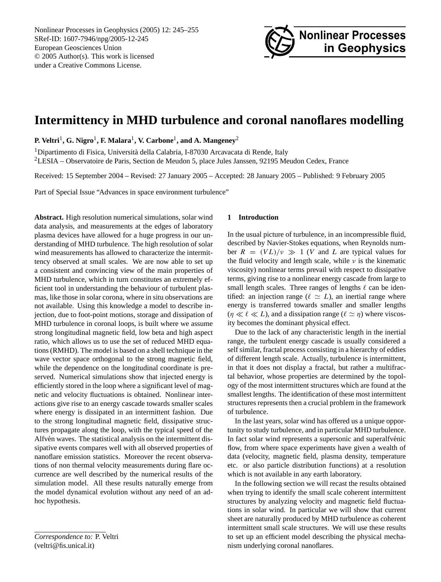Nonlinear Processes in Geophysics (2005) 12: 245[–255](#page-0-0) SRef-ID: 1607-7946/npg/2005-12-245 European Geosciences Union © 2005 Author(s). This work is licensed under a Creative Commons License.



# **Intermittency in MHD turbulence and coronal nanoflares modelling**

**P. Veltri**<sup>1</sup> **, G. Nigro**<sup>1</sup> **, F. Malara**<sup>1</sup> **, V. Carbone**<sup>1</sup> **, and A. Mangeney**<sup>2</sup>

<sup>1</sup>Dipartimento di Fisica, Università della Calabria, I-87030 Arcavacata di Rende, Italy <sup>2</sup>LESIA – Observatoire de Paris, Section de Meudon 5, place Jules Janssen, 92195 Meudon Cedex, France

Received: 15 September 2004 – Revised: 27 January 2005 – Accepted: 28 January 2005 – Published: 9 February 2005

Part of Special Issue "Advances in space environment turbulence"

**Abstract.** High resolution numerical simulations, solar wind data analysis, and measurements at the edges of laboratory plasma devices have allowed for a huge progress in our understanding of MHD turbulence. The high resolution of solar wind measurements has allowed to characterize the intermittency observed at small scales. We are now able to set up a consistent and convincing view of the main properties of MHD turbulence, which in turn constitutes an extremely efficient tool in understanding the behaviour of turbulent plasmas, like those in solar corona, where in situ observations are not available. Using this knowledge a model to describe injection, due to foot-point motions, storage and dissipation of MHD turbulence in coronal loops, is built where we assume strong longitudinal magnetic field, low beta and high aspect ratio, which allows us to use the set of reduced MHD equations (RMHD). The model is based on a shell technique in the wave vector space orthogonal to the strong magnetic field, while the dependence on the longitudinal coordinate is preserved. Numerical simulations show that injected energy is efficiently stored in the loop where a significant level of magnetic and velocity fluctuations is obtained. Nonlinear interactions give rise to an energy cascade towards smaller scales where energy is dissipated in an intermittent fashion. Due to the strong longitudinal magnetic field, dissipative structures propagate along the loop, with the typical speed of the Alfvén waves. The statistical analysis on the intermittent dissipative events compares well with all observed properties of nanoflare emission statistics. Moreover the recent observations of non thermal velocity measurements during flare occurrence are well described by the numerical results of the simulation model. All these results naturally emerge from the model dynamical evolution without any need of an adhoc hypothesis.

## **1 Introduction**

In the usual picture of turbulence, in an incompressible fluid, described by Navier-Stokes equations, when Reynolds number  $R = (VL)/\nu \gg 1$  (*V* and *L* are typical values for the fluid velocity and length scale, while  $\nu$  is the kinematic viscosity) nonlinear terms prevail with respect to dissipative terms, giving rise to a nonlinear energy cascade from large to small length scales. Three ranges of lengths  $\ell$  can be identified: an injection range ( $\ell \simeq L$ ), an inertial range where energy is transferred towards smaller and smaller lengths  $(\eta \ll \ell \ll L)$ , and a dissipation range  $(\ell \simeq \eta)$  where viscosity becomes the dominant physical effect.

Due to the lack of any characteristic length in the inertial range, the turbulent energy cascade is usually considered a self similar, fractal process consisting in a hierarchy of eddies of different length scale. Actually, turbulence is intermittent, in that it does not display a fractal, but rather a multifractal behavior, whose properties are determined by the topology of the most intermittent structures which are found at the smallest lengths. The identification of these most intermittent structures represents then a crucial problem in the framework of turbulence.

In the last years, solar wind has offered us a unique opportunity to study turbulence, and in particular MHD turbulence. In fact solar wind represents a supersonic and superalfvénic flow, from where space experiments have given a wealth of data (velocity, magnetic field, plasma density, temperature etc. or also particle distribution functions) at a resolution which is not available in any earth laboratory.

In the following section we will recast the results obtained when trying to identify the small scale coherent intermittent structures by analyzing velocity and magnetic field fluctuations in solar wind. In particular we will show that current sheet are naturally produced by MHD turbulence as coherent intermittent small scale structures. We will use these results to set up an efficient model describing the physical mechanism underlying coronal nanoflares.

<span id="page-0-0"></span>*Correspondence to:* P. Veltri (veltri@fis.unical.it)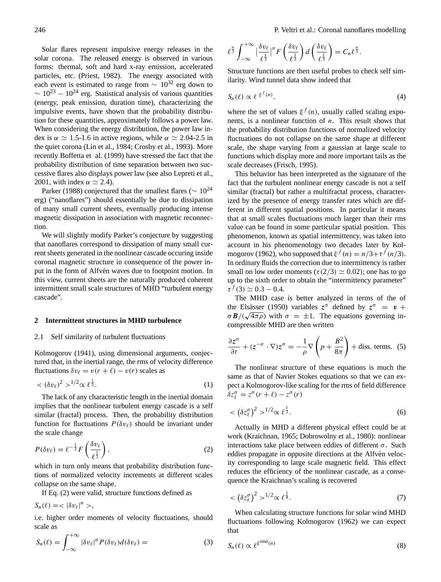solar corona. The released energy is observed in various forms: thermal, soft and hard x-ray emission, accelerated particles, etc. [\(Priest,](#page-10-0) [1982\)](#page-10-0). The energy associated with each event is estimated to range from  $\sim 10^{32}$  erg down to  $\sim 10^{23} - 10^{24}$  erg. Statistical analysis of various quantities (energy, peak emission, duration time), characterizing the impulsive events, have shown that the probability distribution for these quantities, approximately follows a power law. When considering the energy distribution, the power law index is  $\alpha \simeq 1.5$ -1.6 in active regions, while  $\alpha \simeq 2.04$ -2.5 in the quiet corona [\(Lin et al.,](#page-10-1) [1984;](#page-10-1) [Crosby et al.,](#page-9-0) [1993\)](#page-9-0). More recently [Boffetta et al.](#page-9-1) [\(1999\)](#page-9-1) have stressed the fact that the probability distribution of time separation between two successive flares also displays power law (see also [Lepreti et al.,](#page-10-2) [2001,](#page-10-2) with index  $\alpha \simeq 2.4$ ).

[Parker](#page-10-3) [\(1988\)](#page-10-3) conjectured that the smallest flares ( $\sim 10^{24}$ erg) ("nanoflares") should essentially be due to dissipation of many small current sheets, eventually producing intense magnetic dissipation in association with magnetic reconnection.

We will slightly modify Parker's conjecture by suggesting that nanoflares correspond to dissipation of many small current sheets generated in the nonlinear cascade occuring inside coronal magnetic structure in consequence of the power input in the form of Alfvén waves due to footpoint motion. In this view, current sheets are the naturally produced coherent intermittent small scale structures of MHD "turbulent energy cascade".

#### **2 Intermittent structures in MHD turbulence**

#### 2.1 Self similarity of turbulent fluctuations

[Kolmogorov](#page-9-2) [\(1941\)](#page-9-2), using dimensional arguments, conjectured that, in the inertial range, the rms of velocity difference fluctuations  $\delta v_\ell = v(r + \ell) - v(r)$  scales as

$$
\langle (\delta v_{\ell})^2 \rangle^{1/2} \propto \ell^{\frac{1}{3}}.
$$

The lack of any characteristic length in the inertial domain implies that the nonlinear turbulent energy cascade is a self similar (fractal) process. Then, the probability distribution function for fluctuations  $P(\delta v_\ell)$  should be invariant under the scale change

<span id="page-1-0"></span>
$$
P(\delta v_{\ell}) = \ell^{-\frac{1}{3}} F\left(\frac{\delta v_{\ell}}{\ell^{\frac{1}{3}}}\right),\tag{2}
$$

which in turn only means that probability distribution functions of normalized velocity increments at different scales collapse on the same shape.

If Eq. [\(2\)](#page-1-0) were valid, structure functions defined as

 $S_n(\ell) = <|\delta v_\ell|^n>,$ 

i.e. higher order moments of velocity fluctuations, should scale as

$$
S_n(\ell) = \int_{-\infty}^{+\infty} |\delta v_\ell|^n P(\delta v_\ell) d(\delta v_\ell) = \tag{3}
$$

$$
\ell^{\frac{n}{3}}\int_{-\infty}^{+\infty}|\frac{\delta v_{\ell}}{\ell^{\frac{1}{3}}}|^n F\left(\frac{\delta v_{\ell}}{\ell^{\frac{1}{3}}}\right)d\left(\frac{\delta v_{\ell}}{\ell^{\frac{1}{3}}}\right)=C_n\ell^{\frac{n}{3}}.
$$

Structure functions are then useful probes to check self similarity. Wind tunnel data show indeed that

$$
S_n(\ell) \propto \ell^{\xi^f(n)},\tag{4}
$$

where the set of values  $\xi^{f}(n)$ , usually called scaling exponents, is a nonlinear function of  $n$ . This result shows that the probability distribution functions of normalized velocity fluctuations do not collapse on the same shape at different scale, the shape varying from a gaussian at large scale to functions which display more and more important tails as the scale decreases [\(Frisch,](#page-9-3) [1995\)](#page-9-3).

This behavior has been interpreted as the signature of the fact that the turbulent nonlinear energy cascade is not a self similar (fractal) but rather a multifractal process, characterized by the presence of energy transfer rates which are different in different spatial positions. In particular it means that at small scales fluctuations much larger than their rms value can be found in some particular spatial position. This phenomenon, known as spatial intermittency, was taken into account in his phenomenology two decades later by [Kol](#page-10-4)[mogorov](#page-10-4) [\(1962\)](#page-10-4), who supposed that  $\xi^{f}(n) = n/3 + \tau^{f}(n/3)$ . In ordinary fluids the correction due to intermittency is rather small on low order moments ( $\tau$ (2/3)  $\simeq$  0.02); one has to go up to the sixth order to obtain the "intermittency parameter"  $\tau^f(3) \simeq 0.3 - 0.4.$ 

The MHD case is better analyzed in terms of the of the Elsässer [\(1950\)](#page-9-4) variables  $z^{\sigma}$  defined by  $z^{\sigma} = v +$ the Eisasser (1950) variables z<sup>-</sup> defined by  $z^- = v + \sigma B/(\sqrt{4\pi\rho})$  with  $\sigma = \pm 1$ . The equations governing incompressible MHD are then written

<span id="page-1-2"></span>
$$
\frac{\partial z^{\sigma}}{\partial t} + (z^{-\sigma} \cdot \nabla) z^{\sigma} = -\frac{1}{\rho} \nabla \left( p + \frac{B^2}{8\pi} \right) + \text{diss. terms. (5)}
$$

The nonlinear structure of these equations is much the same as that of Navier Stokes equations so that we can expect a Kolmogorov-like scaling for the rms of field difference  $\delta z_{\ell}^{\sigma} = z^{\sigma} (r + \ell) - z^{\sigma} (r)$ 

$$
<\left(\delta z_{\ell}^{\sigma}\right)^{2}>^{1/2}\propto\ell^{\frac{1}{3}}.
$$
\n<sup>(6)</sup>

Actually in MHD a different physical effect could be at work [\(Kraichnan,](#page-10-5) [1965;](#page-10-5) [Dobrowolny et al.,](#page-9-5) [1980\)](#page-9-5): nonlinear interactions take place between eddies of different  $\sigma$ . Such eddies propagate in opposite directions at the Alfvén velocity corresponding to large scale magnetic field. This effect reduces the efficiency of the nonlinear cascade, as a consequence the Kraichnan's scaling is recovered

$$
<\left(\delta z_{\ell}^{\sigma}\right)^{2}>^{1/2}\propto\ell^{\frac{1}{4}}.\tag{7}
$$

When calculating structure functions for solar wind MHD fluctuations following [Kolmogorov](#page-10-4) [\(1962\)](#page-10-4) we can expect that

<span id="page-1-1"></span>
$$
S_n(\ell) \propto \ell^{\xi^{\text{mhd}}(n)}\tag{8}
$$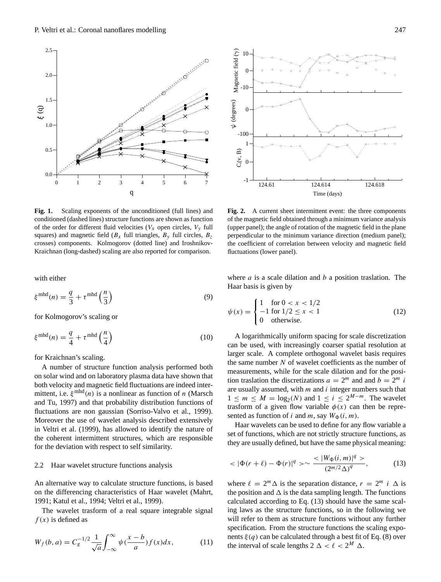

<span id="page-2-1"></span>**Fig. 1.** Scaling exponents of the unconditioned (full lines) and conditioned (dashed lines) structure functions are shown as function of the order for different fluid velocities ( $V_x$  open circles,  $V_y$  full squares) and magnetic field ( $B_x$  full triangles,  $B_y$  full circles,  $B_z$ crosses) components. Kolmogorov (dotted line) and Iroshnikov-Kraichnan (long-dashed) scaling are also reported for comparison.

with either

$$
\xi^{\text{mhd}}(n) = \frac{q}{3} + \tau^{\text{mhd}}\left(\frac{n}{3}\right)
$$
\n(9)

for Kolmogorov's scaling or

$$
\xi^{\text{mhd}}(n) = \frac{q}{4} + \tau^{\text{mhd}}\left(\frac{n}{4}\right)
$$
 (10)

for Kraichnan's scaling.

A number of structure function analysis performed both on solar wind and on laboratory plasma data have shown that both velocity and magnetic field fluctuations are indeed intermittent, i.e.  $\xi^{mhd}(n)$  is a nonlinear as function of *n* [\(Marsch](#page-10-6) [and Tu,](#page-10-6) [1997\)](#page-10-6) and that probability distribution functions of fluctuations are non gaussian [\(Sorriso-Valvo et al.,](#page-10-7) [1999\)](#page-10-7). Moreover the use of wavelet analysis described extensively in [Veltri et al.](#page-10-8) [\(1999\)](#page-10-8), has allowed to identify the nature of the coherent intermittent structures, which are responsible for the deviation with respect to self similarity.

#### 2.2 Haar wavelet structure functions analysis

An alternative way to calculate structure functions, is based on the differencing characteristics of Haar wavelet [\(Mahrt,](#page-10-9) [1991;](#page-10-9) [Katul et al.,](#page-9-6) [1994;](#page-9-6) [Veltri et al.,](#page-10-8) [1999\)](#page-10-8).

The wavelet trasform of a real square integrable signal  $f(x)$  is defined as

$$
W_f(b, a) = C_g^{-1/2} \frac{1}{\sqrt{a}} \int_{-\infty}^{\infty} \psi(\frac{x - b}{a}) f(x) dx,
$$
 (11)



<span id="page-2-2"></span>**Fig. 2.** A current sheet intermittent event: the three components of the magnetic field obtained through a minimum variance analysis (upper panel); the angle of rotation of the magnetic field in the plane perpendicular to the minimum variance direction (medium panel); the coefficient of correlation between velocity and magnetic field fluctuations (lower panel).

where  $a$  is a scale dilation and  $b$  a position traslation. The Haar basis is given by

$$
\psi(x) = \begin{cases}\n1 & \text{for } 0 < x < 1/2 \\
-1 & \text{for } 1/2 \le x < 1 \\
0 & \text{otherwise.} \n\end{cases}
$$
\n(12)

A logarithmically uniform spacing for scale discretization can be used, with increasingly coarser spatial resolution at larger scale. A complete orthogonal wavelet basis requires the same number  $N$  of wavelet coefficients as the number of measurements, while for the scale dilation and for the position traslation the discretizations  $a = 2^m$  and and  $b = 2^m i$ are usually assumed, with  $m$  and  $i$  integer numbers such that  $1 \leq m \leq M = \log_2(N)$  and  $1 \leq i \leq 2^{M-m}$ . The wavelet trasform of a given flow variable  $\phi(x)$  can then be represented as function of i and m, say  $W_{\Phi}(i, m)$ .

Haar wavelets can be used to define for any flow variable a set of functions, which are not strictly structure functions, as they are usually defined, but have the same physical meaning:

<span id="page-2-0"></span>
$$
\langle |\Phi(r+\ell) - \Phi(r)|^q \rangle \sim \frac{\langle |W_{\Phi}(i,m)|^q \rangle}{(2^{m/2}\Delta)^q}, \tag{13}
$$

where  $\ell = 2^m \Delta$  is the separation distance,  $r = 2^m i \Delta$  is the position and  $\Delta$  is the data sampling length. The functions calculated according to Eq. [\(13\)](#page-2-0) should have the same scaling laws as the structure functions, so in the following we will refer to them as structure functions without any further specification. From the structure functions the scaling exponents  $\xi(q)$  can be calculated through a best fit of Eq. [\(8\)](#page-1-1) over the interval of scale lengths  $2 \Delta < \ell < 2^M \Delta$ .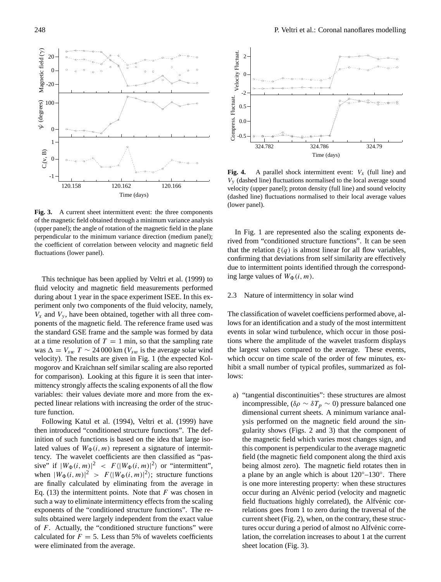

<span id="page-3-0"></span>**Fig. 3.** A current sheet intermittent event: the three components of the magnetic field obtained through a minimum variance analysis (upper panel); the angle of rotation of the magnetic field in the plane perpendicular to the minimum variance direction (medium panel); the coefficient of correlation between velocity and magnetic field fluctuations (lower panel).

This technique has been applied by [Veltri et al.](#page-10-8) [\(1999\)](#page-10-8) to fluid velocity and magnetic field measurements performed during about 1 year in the space experiment ISEE. In this experiment only two components of the fluid velocity, namely,  $V_x$  and  $V_y$ , have been obtained, together with all three components of the magnetic field. The reference frame used was the standard GSE frame and the sample was formed by data at a time resolution of  $T = 1$  min, so that the sampling rate was  $\Delta = V_{sw} T \sim 24000 \text{ km}$  ( $V_{sw}$  is the average solar wind velocity). The results are given in Fig. [1](#page-2-1) (the expected Kolmogorov and Kraichnan self similar scaling are also reported for comparison). Looking at this figure it is seen that intermittency strongly affects the scaling exponents of all the flow variables: their values deviate more and more from the expected linear relations with increasing the order of the structure function.

Following [Katul et al.](#page-9-6) [\(1994\)](#page-9-6), [Veltri et al.](#page-10-8) [\(1999\)](#page-10-8) have then introduced "conditioned structure functions". The definition of such functions is based on the idea that large isolated values of  $W_{\Phi}(i, m)$  represent a signature of intermittency. The wavelet coefficients are then classified as "passive" if  $|W_{\Phi}(i,m)|^2 < F\langle |W_{\Phi}(i,m)|^2 \rangle$  or "intermittent", when  $|W_{\Phi}(i,m)|^2 > F\langle |W_{\Phi}(i,m)|^2 \rangle$ ; structure functions are finally calculated by eliminating from the average in Eq. [\(13\)](#page-2-0) the intermittent points. Note that  $F$  was chosen in such a way to eliminate intermittency effects from the scaling exponents of the "conditioned structure functions". The results obtained were largely independent from the exact value of F. Actually, the "conditioned structure functions" were calculated for  $F = 5$ . Less than 5% of wavelets coefficients were eliminated from the average.



<span id="page-3-1"></span>**Fig. 4.** A parallel shock intermittent event:  $V_x$  (full line) and  $V<sub>v</sub>$  (dashed line) fluctuations normalised to the local average sound velocity (upper panel); proton density (full line) and sound velocity (dashed line) fluctuations normalised to their local average values (lower panel).

In Fig. [1](#page-2-1) are represented also the scaling exponents derived from "conditioned structure functions". It can be seen that the relation  $\xi(q)$  is almost linear for all flow variables, confirming that deviations from self similarity are effectively due to intermittent points identified through the corresponding large values of  $W_{\Phi}(i, m)$ .

## 2.3 Nature of intermittency in solar wind

The classification of wavelet coefficiens performed above, allows for an identification and a study of the most intermittent events in solar wind turbulence, which occur in those positions where the amplitude of the wavelet trasform displays the largest values compared to the average. These events, which occur on time scale of the order of few minutes, exhibit a small number of typical profiles, summarized as follows:

a) "tangential discontinuities": these structures are almost incompressible, ( $\delta \rho \sim \delta T_p \sim 0$ ) pressure balanced one dimensional current sheets. A minimum variance analysis performed on the magnetic field around the singularity shows (Figs. [2](#page-2-2) and [3\)](#page-3-0) that the component of the magnetic field which varies most changes sign, and this component is perpendicular to the average magnetic field (the magnetic field component along the third axis being almost zero). The magnetic field rotates then in a plane by an angle which is about 120°–130°. There is one more interesting property: when these structures occur during an Alvénic period (velocity and magnetic field fluctuations highly correlated), the Alfvénic correlations goes from 1 to zero during the traversal of the current sheet (Fig. [2\)](#page-2-2), when, on the contrary, these structures occur during a period of almost no Alfvénic correlation, the correlation increases to about 1 at the current sheet location (Fig. [3\)](#page-3-0).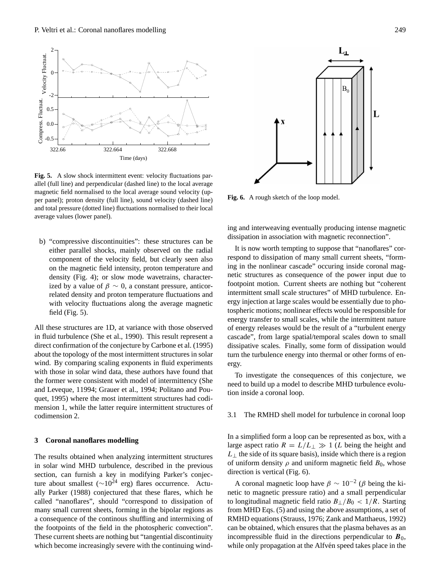

<span id="page-4-0"></span>Fig. 5. A slow shock intermittent event: velocity fluctuations parallel (full line) and perpendicular (dashed line) to the local average magnetic field normalised to the local average sound velocity (upper panel); proton density (full line), sound velocity (dashed line) and total pressure (dotted line) fluctuations normalised to their local average values (lower panel).

b) "compressive discontinuities": these structures can be either parallel shocks, mainly observed on the radial component of the velocity field, but clearly seen also on the magnetic field intensity, proton temperature and density (Fig. [4\)](#page-3-1); or slow mode wavetrains, characterized by a value of  $\beta \sim 0$ , a constant pressure, anticorrelated density and proton temperature fluctuations and with velocity fluctuations along the average magnetic field (Fig. [5\)](#page-4-0).

All these structures are 1D, at variance with those observed in fluid turbulence [\(She et al.,](#page-10-10) [1990\)](#page-10-10). This result represent a direct confirmation of the conjecture by [Carbone et al.](#page-9-7) [\(1995\)](#page-9-7) about the topology of the most intermittent structures in solar wind. By comparing scaling exponents in fluid experiments with those in solar wind data, these authors have found that the former were consistent with model of intermittency [\(She](#page-10-11) [and Leveque,](#page-10-11) [11994;](#page-10-11) [Grauer et al.,](#page-9-8) [1994;](#page-9-8) [Politano and Pou](#page-10-12)[quet,](#page-10-12) [1995\)](#page-10-12) where the most intermittent structures had codimension 1, while the latter require intermittent structures of codimension 2.

# **3 Coronal nanoflares modelling**

The results obtained when analyzing intermittent structures in solar wind MHD turbulence, described in the previous section, can furnish a key in modifying Parker's conjecture about smallest ( $\sim$ 10<sup>24</sup> erg) flares occurrence. Actually [Parker](#page-10-3) [\(1988\)](#page-10-3) conjectured that these flares, which he called "nanoflares", should "correspond to dissipation of many small current sheets, forming in the bipolar regions as a consequence of the continous shuffling and intermixing of the footpoints of the field in the photospheric convection". These current sheets are nothing but "tangential discontinuity which become increasingly severe with the continuing wind-



<span id="page-4-1"></span>**Fig. 6.** A rough sketch of the loop model.

ing and interweaving eventually producing intense magnetic dissipation in association with magnetic reconnection".

It is now worth tempting to suppose that "nanoflares" correspond to dissipation of many small current sheets, "forming in the nonlinear cascade" occuring inside coronal magnetic structures as consequence of the power input due to footpoint motion. Current sheets are nothing but "coherent intermittent small scale structures" of MHD turbulence. Energy injection at large scales would be essentially due to photospheric motions; nonlinear effects would be responsible for energy transfer to small scales, while the intermittent nature of energy releases would be the result of a "turbulent energy cascade", from large spatial/temporal scales down to small dissipative scales. Finally, some form of dissipation would turn the turbulence energy into thermal or other forms of energy.

To investigate the consequences of this conjecture, we need to build up a model to describe MHD turbulence evolution inside a coronal loop.

## 3.1 The RMHD shell model for turbulence in coronal loop

In a simplified form a loop can be represented as box, with a large aspect ratio  $R = L/L_{\perp} \gg 1$  (L being the height and  $L_{\perp}$  the side of its square basis), inside which there is a region of uniform density  $\rho$  and uniform magnetic field  $B_0$ , whose direction is vertical (Fig. [6\)](#page-4-1).

A coronal magnetic loop have  $\beta \sim 10^{-2}$  ( $\beta$  being the kinetic to magnetic pressure ratio) and a small perpendicular to longitudinal magnetic field ratio  $B_{\perp}/B_0 < 1/R$ . Starting from MHD Eqs. [\(5\)](#page-1-2) and using the above assumptions, a set of RMHD equations [\(Strauss,](#page-10-13) [1976;](#page-10-13) [Zank and Matthaeus,](#page-10-14) [1992\)](#page-10-14) can be obtained, which ensures that the plasma behaves as an incompressible fluid in the directions perpendicular to  $\mathbf{B}_0$ , while only propagation at the Alfvén speed takes place in the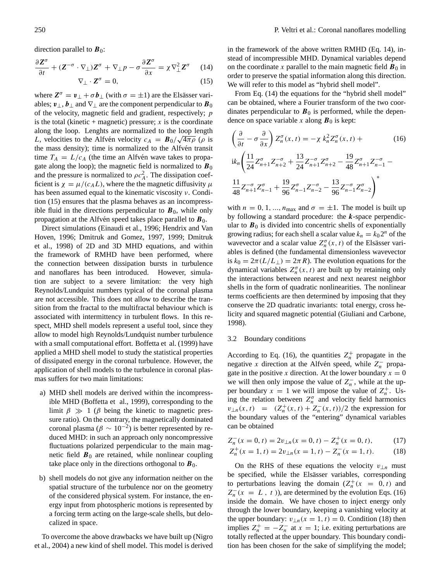direction parallel to  $\mathbf{B}_0$ :

$$
\frac{\partial \mathbf{Z}^{\sigma}}{\partial t} + (\mathbf{Z}^{-\sigma} \cdot \nabla_{\perp}) \mathbf{Z}^{\sigma} + \nabla_{\perp} p - \sigma \frac{\partial \mathbf{Z}^{\sigma}}{\partial x} = \chi \nabla_{\perp}^{2} \mathbf{Z}^{\sigma} \qquad (14)
$$

<span id="page-5-0"></span>
$$
\nabla_{\perp} \cdot Z^{\sigma} = 0, \tag{15}
$$

where  $\mathbf{Z}^{\sigma} = \mathbf{v}_{\perp} + \sigma \mathbf{b}_{\perp}$  (with  $\sigma = \pm 1$ ) are the Elsässer variables;  $v_{\perp}, b_{\perp}$  and  $\nabla_{\perp}$  are the component perpendicular to  $B_0$ of the velocity, magnetic field and gradient, respectively; p is the total (kinetic + magnetic) pressure; x is the coordinate along the loop. Lenghts are normalized to the loop length L, velocities to the Alfvén velocity  $c_A = \frac{B_0}{\sqrt{4\pi\rho}}$  ( $\rho$  is the mass density); time is normalized to the Alfvén transit time  $T_A = L/c_A$  (the time an Alfvén wave takes to propagate along the loop); the magnetic field is normalized to  $\mathbf{B}_0$ and the pressure is normalized to  $\rho c_A^2$ . The dissipation coefficient is  $\chi = \mu/(c_A L)$ , where the the magnetic diffusivity  $\mu$ has been assumed equal to the kinematic viscosity ν. Condition [\(15\)](#page-5-0) ensures that the plasma behaves as an incompressible fluid in the directions perpendicular to  $\mathbf{B}_0$ , while only propagation at the Alfvén speed takes place parallel to  $\mathbf{B}_0$ .

Direct simulations [\(Einaudi et al.,](#page-9-9) [1996;](#page-9-9) [Hendrix and Van](#page-9-10) [Hoven,](#page-9-10) [1996;](#page-9-10) [Dmitruk and Gomez,](#page-9-11) [1997,](#page-9-11) [1999;](#page-9-12) [Dmitruk](#page-9-13) [et al.,](#page-9-13) [1998\)](#page-9-13) of 2D and 3D MHD equations, and within the framework of RMHD have been performed, where the connection between dissipation bursts in turbulence and nanoflares has been introduced. However, simulation are subject to a severe limitation: the very high Reynolds/Lundquist numbers typical of the coronal plasma are not accessible. This does not allow to describe the transition from the fractal to the multifractal behaviour which is associated with intermittency in turbulent flows. In this respect, MHD shell models represent a useful tool, since they allow to model high Reynolds/Lundquist number turbulence with a small computational effort. [Boffetta et al.](#page-9-1) [\(1999\)](#page-9-1) have applied a MHD shell model to study the statistical properties of dissipated energy in the coronal turbulence. However, the application of shell models to the turbulence in coronal plasmas suffers for two main limitations:

- a) MHD shell models are derived within the incompressible MHD [\(Boffetta et al.,](#page-9-1) [1999\)](#page-9-1), corresponding to the limit  $\beta \gg 1$  ( $\beta$  being the kinetic to magnetic pressure ratio). On the contrary, the magnetically dominated coronal plasma ( $\beta \sim 10^{-2}$ ) is better represented by reduced MHD: in such an approach only noncompressive fluctuations polarized perpendicular to the main magnetic field  $\mathbf{B}_0$  are retained, while nonlinear coupling take place only in the directions orthogonal to  $\mathbf{B}_0$ .
- b) shell models do not give any information neither on the spatial structure of the turbulence nor on the geometry of the considered physical system. For instance, the energy input from photospheric motions is represented by a forcing term acting on the large-scale shells, but delocalized in space.

To overcome the above drawbacks we have built up [\(Nigro](#page-10-15) [et al.,](#page-10-15) [2004\)](#page-10-15) a new kind of shell model. This model is derived in the framework of the above written RMHD (Eq. [14\)](#page-5-0), instead of incompressible MHD. Dynamical variables depend on the coordinate x parallel to the main magnetic field  $\mathbf{B}_0$  in order to preserve the spatial information along this direction. We will refer to this model as "hybrid shell model".

From Eq. [\(14\)](#page-5-0) the equations for the "hybrid shell model" can be obtained, where a Fourier transform of the two coordinates perpendicular to  $\mathbf{B}_0$  is performed, while the dependence on space variable x along  $\mathbf{B}_0$  is kept:

<span id="page-5-1"></span>
$$
\left(\frac{\partial}{\partial t} - \sigma \frac{\partial}{\partial x}\right) Z_n^{\sigma}(x, t) = -\chi k_n^2 Z_n^{\sigma}(x, t) +
$$
\n
$$
ik_n \left(\frac{11}{24} Z_{n+1}^{\sigma} Z_{n+2}^{-\sigma} + \frac{13}{24} Z_{n+1}^{-\sigma} Z_{n+2}^{\sigma} - \frac{19}{48} Z_{n+1}^{\sigma} Z_{n-1}^{-\sigma} - \frac{11}{48} Z_{n+1}^{-\sigma} Z_{n-1}^{-\sigma} + \frac{19}{96} Z_{n-1}^{\sigma} Z_{n-2}^{-\sigma} - \frac{13}{96} Z_{n-1}^{-\sigma} Z_{n-2}^{\sigma} \right)^*
$$
\n(16)

with  $n = 0, 1, ..., n_{\text{max}}$  and  $\sigma = \pm 1$ . The model is built up by following a standard procedure: the  $k$ -space perpendicular to  $\mathbf{B}_0$  is divided into concentric shells of exponentially growing radius; for each shell a scalar value  $k_n = k_0 2^n$  of the wavevector and a scalar value  $Z_n^{\sigma}(x, t)$  of the Elsässer variables is defined (the fundamental dimensionless wavevector is  $k_0 = 2\pi (L/L_{\perp}) = 2\pi R$ . The evolution equations for the dynamical variables  $Z_n^{\sigma}(x, t)$  are built up by retaining only the interactions between nearest and next nearest neighbor shells in the form of quadratic nonlinearities. The nonlinear terms coefficients are then determined by imposing that they conserve the 2D quadratic invariants: total energy, cross helicity and squared magnetic potential [\(Giuliani and Carbone,](#page-9-14) [1998\)](#page-9-14).

#### 3.2 Boundary conditions

According to Eq. [\(16\)](#page-5-1), the quantities  $Z_n^+$  propagate in the negative x direction at the Alfvén speed, while  $Z_n^-$  propagate in the positive x direction. At the lower boundary  $x = 0$ we will then only impose the value of  $Z_n^-$ , while at the upper boundary  $x = 1$  we will impose the value of  $Z_n^+$ . Using the relation between  $Z_n^{\sigma}$  and velocity field harmonics  $v_{\perp n}(x, t) = (Z_n^+(x, t) + Z_n^-(x, t))/2$  the expression for the boundary values of the "entering" dynamical variables can be obtained

$$
Z_n^-(x = 0, t) = 2v_{\perp n}(x = 0, t) - Z_n^+(x = 0, t), \tag{17}
$$

<span id="page-5-2"></span>
$$
Z_n^+(x=1,t) = 2v_{\perp n}(x=1,t) - Z_n^-(x=1,t). \tag{18}
$$

On the RHS of these equations the velocity  $v_{\perp n}$  must be specified, while the Elsässer variables, corresponding to perturbations leaving the domain  $(Z_n^+(x = 0, t)$  and  $Z_n^-(x = L, t)$ , are determined by the evolution Eqs. [\(16\)](#page-5-1) inside the domain. We have chosen to inject energy only through the lower boundary, keeping a vanishing velocity at the upper boundary:  $v_{\perp n}(x = 1, t) = 0$ . Condition [\(18\)](#page-5-2) then implies  $Z_n^+ = -Z_n^-$  at  $x = 1$ ; i.e. exiting perturbations are totally reflected at the upper boundary. This boundary condition has been chosen for the sake of simplifying the model;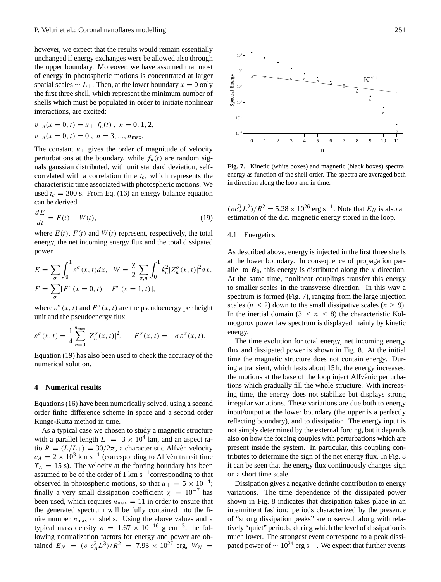however, we expect that the results would remain essentially unchanged if energy exchanges were be allowed also through the upper boundary. Moreover, we have assumed that most of energy in photospheric motions is concentrated at larger spatial scales  $\sim L_{\perp}$ . Then, at the lower boundary  $x = 0$  only the first three shell, which represent the minimum number of shells which must be populated in order to initiate nonlinear interactions, are excited:

<span id="page-6-0"></span>
$$
v_{\perp n}(x = 0, t) = u_{\perp} f_n(t), \quad n = 0, 1, 2,
$$
  

$$
v_{\perp n}(x = 0, t) = 0, \quad n = 3, ..., n_{\text{max}}.
$$

The constant  $u_{\perp}$  gives the order of magnitude of velocity perturbations at the boundary, while  $f_n(t)$  are random signals gaussian distributed, with unit standard deviation, selfcorrelated with a correlation time  $t_c$ , which represents the characteristic time associated with photospheric motions. We used  $t_c = 300$  s. From Eq. [\(16\)](#page-5-1) an energy balance equation can be derived

$$
\frac{dE}{dt} = F(t) - W(t),\tag{19}
$$

where  $E(t)$ ,  $F(t)$  and  $W(t)$  represent, respectively, the total energy, the net incoming energy flux and the total dissipated power

$$
E = \sum_{\sigma} \int_0^1 \varepsilon^{\sigma}(x, t) dx, \quad W = \frac{\chi}{2} \sum_{\sigma, n} \int_0^1 k_n^2 |Z_n^{\sigma}(x, t)|^2 dx,
$$
  

$$
F = \sum_{\sigma} [F^{\sigma}(x = 0, t) - F^{\sigma}(x = 1, t)],
$$

where  $\varepsilon^{\sigma}(x, t)$  and  $F^{\sigma}(x, t)$  are the pseudoenergy per height unit and the pseudoenergy flux

$$
\varepsilon^{\sigma}(x,t) = \frac{1}{4} \sum_{n=0}^{n_{\text{max}}} |Z_n^{\sigma}(x,t)|^2, \quad F^{\sigma}(x,t) = -\sigma \varepsilon^{\sigma}(x,t).
$$

Equation [\(19\)](#page-6-0) has also been used to check the accuracy of the numerical solution.

#### **4 Numerical results**

Equations [\(16\)](#page-5-1) have been numerically solved, using a second order finite difference scheme in space and a second order Runge-Kutta method in time.

As a typical case we chosen to study a magnetic structure with a parallel length  $L = 3 \times 10^4$  km, and an aspect ratio  $R = (L/L_{\perp}) = 30/2\pi$ , a characteristic Alfvén velocity  $c_A = 2 \times 10^3$  km s<sup>-1</sup> (corresponding to Alfvén transit time  $T_A = 15$  s). The velocity at the forcing boundary has been assumed to be of the order of 1 km s−<sup>1</sup> corresponding to that observed in photospheric motions, so that  $u_{\perp} = 5 \times 10^{-4}$ ; finally a very small dissipation coefficient  $\chi = 10^{-7}$  has been used, which requires  $n_{\text{max}} = 11$  in order to ensure that the generated spectrum will be fully contained into the finite number  $n_{\text{max}}$  of shells. Using the above values and a typical mass density  $\rho = 1.67 \times 10^{-16}$  g cm<sup>-3</sup>, the following normalization factors for energy and power are obtained  $E_N = (\rho c_A^2 L^3)/R^2 = 7.93 \times 10^{27}$  erg,  $W_N =$ 



<span id="page-6-1"></span>**Fig. 7.** Kinetic (white boxes) and magnetic (black boxes) spectral energy as function of the shell order. The spectra are averaged both in direction along the loop and in time.

 $(\rho c_A^3 L^2)/R^2 = 5.28 \times 10^{26}$  erg s<sup>-1</sup>. Note that  $E_N$  is also an estimation of the d.c. magnetic energy stored in the loop.

## 4.1 Energetics

As described above, energy is injected in the first three shells at the lower boundary. In consequence of propagation parallel to  $\mathbf{B}_0$ , this energy is distributed along the x direction. At the same time, nonlinear couplings transfer this energy to smaller scales in the transverse direction. In this way a spectrum is formed (Fig. [7\)](#page-6-1), ranging from the large injection scales ( $n \leq 2$ ) down to the small dissipative scales ( $n \geq 9$ ). In the inertial domain (3  $\leq n \leq 8$ ) the characteristic Kolmogorov power law spectrum is displayed mainly by kinetic energy.

The time evolution for total energy, net incoming energy flux and dissipated power is shown in Fig. [8.](#page-7-0) At the initial time the magnetic structure does not contain energy. During a transient, which lasts about 15 h, the energy increases: the motions at the base of the loop inject Alfvénic perturbations which gradually fill the whole structure. With increasing time, the energy does not stabilize but displays strong irregular variations. These variations are due both to energy input/output at the lower boundary (the upper is a perfectly reflecting boundary), and to dissipation. The energy input is not simply determined by the external forcing, but it depends also on how the forcing couples with perturbations which are present inside the system. In particular, this coupling contributes to determine the sign of the net energy flux. In Fig. [8](#page-7-0) it can be seen that the energy flux continuously changes sign on a short time scale.

Dissipation gives a negative definite contribution to energy variations. The time dependence of the dissipated power shown in Fig. [8](#page-7-0) indicates that dissipation takes place in an intermittent fashion: periods characterized by the presence of "strong dissipation peaks" are observed, along with relatively "quiet" periods, during which the level of dissipation is much lower. The strongest event correspond to a peak dissipated power of  $\sim 10^{24}$  erg s<sup>-1</sup>. We expect that further events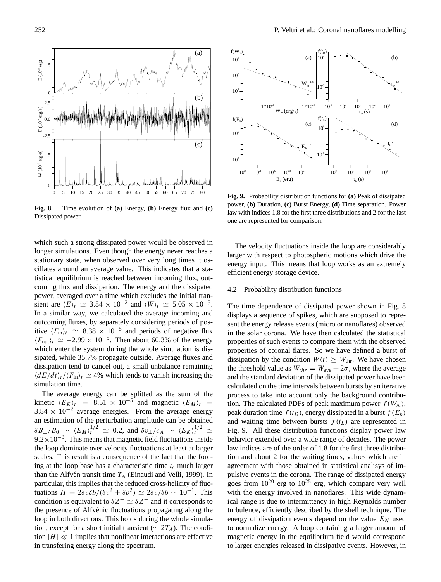<span id="page-7-0"></span>**Fig. 8.** Time evolution of **(a)** Energy, **(b)** Energy flux and **(c)** Dissipated power.

which such a strong dissipated power would be observed in longer simulations. Even though the energy never reaches a stationary state, when observed over very long times it oscillates around an average value. This indicates that a statistical equilibrium is reached between incoming flux, outcoming flux and dissipation. The energy and the dissipated power, averaged over a time which excludes the initial transient are  $\langle E \rangle_t \simeq 3.84 \times 10^{-2}$  and  $\langle W \rangle_t \simeq 5.05 \times 10^{-5}$ . In a similar way, we calculated the average incoming and outcoming fluxes, by separately considering periods of positive  $\langle F_{\text{in}} \rangle_t$  ≈ 8.38 × 10<sup>-5</sup> and periods of negative flux  $\langle F_{\text{out}} \rangle_t \simeq -2.99 \times 10^{-5}$ . Then about 60.3% of the energy which enter the system during the whole simulation is dissipated, while 35.7% propagate outside. Average fluxes and dissipation tend to cancel out, a small unbalance remaining  $\langle dE/dt \rangle_t / \langle F_{\text{in}} \rangle_t \simeq 4\%$  which tends to vanish increasing the simulation time.

The average energy can be splitted as the sum of the kinetic  $\langle E_K \rangle_t = 8.51 \times 10^{-5}$  and magnetic  $\langle E_M \rangle_t =$  $3.84 \times 10^{-2}$  average energies. From the average energy an estimation of the perturbation amplitude can be obtained  $\delta B_{\perp}/B_0 \sim \langle E_M \rangle_t^{1/2} \simeq 0.2$ , and  $\delta v_{\perp}/c_A \sim \langle E_K \rangle_t^{1/2} \simeq$  $9.2 \times 10^{-3}$ . This means that magnetic field fluctuations inside the loop dominate over velocity fluctuations at least at larger scales. This result is a consequence of the fact that the forcing at the loop base has a characteristic time  $t_c$  much larger than the Alfvén transit time  $T_A$  [\(Einaudi and Velli,](#page-9-15) [1999\)](#page-9-15). In particular, this implies that the reduced cross-helicity of fluctuations  $H = 2\delta v \delta b / (\delta v^2 + \delta b^2) \simeq 2\delta v / \delta b \sim 10^{-1}$ . This condition is equivalent to  $\delta Z^+ \simeq \delta Z^-$  and it corresponds to the presence of Alfvénic fluctuations propagating along the loop in both directions. This holds during the whole simulation, except for a short initial transient ( $\sim 2T_A$ ). The condition  $|H| \ll 1$  implies that nonlinear interactions are effective in transfering energy along the spectrum.

<span id="page-7-1"></span>**Fig. 9.** Probability distribution functions for **(a)** Peak of dissipated power, **(b)** Duration, **(c)** Burst Energy, **(d)** Time separation. Power law with indices 1.8 for the first three distributions and 2 for the last one are represented for comparison.

The velocity fluctuations inside the loop are considerably larger with respect to photospheric motions which drive the energy input. This means that loop works as an extremely efficient energy storage device.

## 4.2 Probability distribution functions

The time dependence of dissipated power shown in Fig. [8](#page-7-0) displays a sequence of spikes, which are supposed to represent the energy release events (micro or nanoflares) observed in the solar corona. We have then calculated the statistical properties of such events to compare them with the observed properties of coronal flares. So we have defined a burst of dissipation by the condition  $W(t) \geq W_{\text{thr}}$ . We have chosen the threshold value as  $W_{thr} = W_{ave} + 2\sigma$ , where the average and the standard deviation of the dissipated power have been calculated on the time intervals between bursts by an iterative process to take into account only the background contribution. The calculated PDFs of peak maximum power  $f(W_m)$ , peak duration time  $f(t_D)$ , energy dissipated in a burst  $f(E_b)$ and waiting time between bursts  $f(t_L)$  are represented in Fig. [9.](#page-7-1) All these distribution functions display power law behavior extended over a wide range of decades. The power law indices are of the order of 1.8 for the first three distribution and about 2 for the waiting times, values which are in agreement with those obtained in statistical analisys of impulsive events in the corona. The range of dissipated energy goes from  $10^{20}$  erg to  $10^{25}$  erg, which compare very well with the energy involved in nanoflares. This wide dynamical range is due to intermittency in high Reynolds number turbulence, efficiently described by the shell technique. The energy of dissipation events depend on the value  $E<sub>N</sub>$  used to normalize energy. A loop containing a larger amount of magnetic energy in the equilibrium field would correspond to larger energies released in dissipative events. However, in



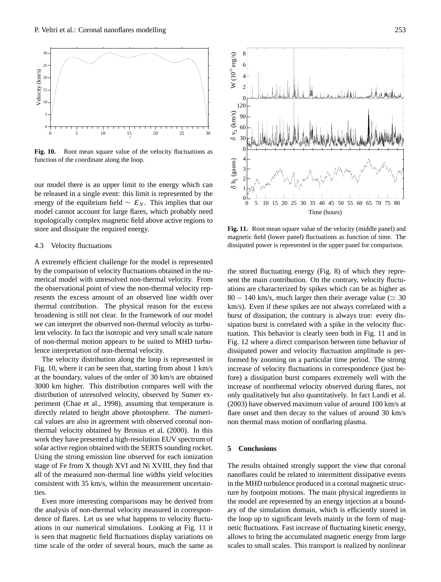

<span id="page-8-0"></span>**Fig. 10.** Root mean square value of the velocity fluctuations as function of the coordinate along the loop.

our model there is an upper limit to the energy which can be released in a single event: this limit is represented by the energy of the equibrium field  $\sim E_N$ . This implies that our model cannot account for large flares, which probably need topologically complex magnetic field above active regions to store and dissipate the required energy.

#### 4.3 Velocity fluctuations

A extremely efficient challenge for the model is represented by the comparison of velocity fluctuations obtained in the numerical model with unresolved non-thermal velocity. From the observational point of view the non-thermal velocity represents the excess amount of an observed line width over thermal contribution. The physical reason for the excess broadening is still not clear. In the framework of our model we can interpret the observed non-thermal velocity as turbulent velocity. In fact the isotropic and very small scale nature of non-thermal motion appears to be suited to MHD turbulence interpretation of non-thermal velocity.

The velocity distribution along the loop is represented in Fig. [10,](#page-8-0) where it can be seen that, starting from about 1 km/s at the boundary, values of the order of 30 km/s are obtained 3000 km higher. This distribution compares well with the distribution of unresolved velocity, observed by Sumer experiment [\(Chae et al.,](#page-9-16) [1998\)](#page-9-16), assuming that temperature is directly related to height above photosphere. The numerical values are also in agreement with observed coronal nonthermal velocity obtained by [Brosius et al.](#page-9-17) [\(2000\)](#page-9-17). In this work they have presented a high-resolution EUV spectrum of solar active region obtained with the SERTS sounding rocket. Using the strong emission line observed for each ionization stage of Fe from X though XVI and Ni XVIII, they find that all of the measured non-thermal line widths yield velocities consistent with 35 km/s, within the measurement uncertainties.

Even more interesting comparisons may be derived from the analysis of non-thermal velocity measured in correspondence of flares. Let us see what happens to velocity fluctuations in our numerical simulations. Looking at Fig. [11](#page-8-1) it is seen that magnetic field fluctuations display variations on time scale of the order of several hours, much the same as



<span id="page-8-1"></span>**Fig. 11.** Root mean square value of the velocity (middle panel) and magnetic field (lower panel) fluctuations as function of time. The dissipated power is represented in the upper panel for comparison.

the stored fluctuating energy (Fig. [8\)](#page-7-0) of which they represent the main contribution. On the contrary, velocity fluctuations are characterized by spikes which can be as higher as 80 − 140 km/s, much larger then their average value ( $\simeq$  30 km/s). Even if these spikes are not always correlated with a burst of dissipation, the contrary is always true: every dissipation burst is correlated with a spike in the velocity fluctuation. This behavior is clearly seen both in Fig. [11](#page-8-1) and in Fig. [12](#page-9-18) where a direct comparison between time behavior of dissipated power and velocity fluctuation amplitude is performed by zooming on a particular time period. The strong increase of velocity fluctuations in correspondence (just before) a dissipation burst compares extremely well with the increase of nonthermal velocity observed during flares, not only qualitatively but also quantitatively. In fact [Landi et al.](#page-10-16) [\(2003\)](#page-10-16) have observed maximum value of around 100 km/s at flare onset and then decay to the values of around 30 km/s non thermal mass motion of nonflaring plasma.

## **5 Conclusions**

The results obtained strongly support the view that coronal nanoflares could be related to intermittent dissipative events in the MHD turbulence produced in a coronal magnetic structure by footpoint motions. The main physical ingredients in the model are represented by an energy injection at a boundary of the simulation domain, which is efficiently stored in the loop up to significant levels mainly in the form of magnetic fluctuations. Fast increase of fluctuating kinetic energy, allows to bring the accumulated magnetic energy from large scales to small scales. This transport is realized by nonlinear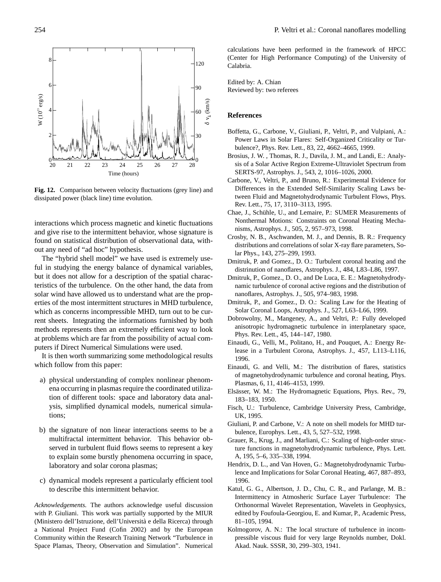

<span id="page-9-18"></span>**Fig. 12.** Comparison between velocity fluctuations (grey line) and dissipated power (black line) time evolution.

interactions which process magnetic and kinetic fluctuations and give rise to the intermittent behavior, whose signature is found on statistical distribution of observational data, without any need of "ad hoc" hypothesis.

The "hybrid shell model" we have used is extremely useful in studying the energy balance of dynamical variables, but it does not allow for a description of the spatial characteristics of the turbulence. On the other hand, the data from solar wind have allowed us to understand what are the properties of the most intermittent structures in MHD turbulence, which as concerns incompressible MHD, turn out to be current sheets. Integrating the informations furnished by both methods represents then an extremely efficient way to look at problems which are far from the possibility of actual computers if Direct Numerical Simulations were used.

It is then worth summarizing some methodological results which follow from this paper:

- a) physical understanding of complex nonlinear phenomena occurring in plasmas require the coordinated utilization of different tools: space and laboratory data analysis, simplified dynamical models, numerical simulations;
- b) the signature of non linear interactions seems to be a multifractal intermittent behavior. This behavior observed in turbulent fluid flows seems to represent a key to explain some burstly phenomena occurring in space, laboratory and solar corona plasmas;
- c) dynamical models represent a particularly efficient tool to describe this intermittent behavior.

*Acknowledgements.* The authors acknowledge useful discussion with P. Giuliani. This work was partially supported by the MIUR (Ministero dell'Istruzione, dell'Universita e della Ricerca) through ` a National Project Fund (Cofin 2002) and by the European Community within the Research Training Network "Turbulence in Space Plamas, Theory, Observation and Simulation". Numerical calculations have been performed in the framework of HPCC (Center for High Performance Computing) of the University of Calabria.

Edited by: A. Chian Reviewed by: two referees

#### **References**

- <span id="page-9-1"></span>Boffetta, G., Carbone, V., Giuliani, P., Veltri, P., and Vulpiani, A.: Power Laws in Solar Flares: Self-Organized Criticality or Turbulence?, Phys. Rev. Lett., 83, 22, 4662–4665, 1999.
- <span id="page-9-17"></span>Brosius, J. W. , Thomas, R. J., Davila, J. M., and Landi, E.: Analysis of a Solar Active Region Extreme-Ultraviolet Spectrum from SERTS-97, Astrophys. J., 543, 2, 1016–1026, 2000.
- <span id="page-9-7"></span>Carbone, V., Veltri, P., and Bruno, R.: Experimental Evidence for Differences in the Extended Self-Similarity Scaling Laws between Fluid and Magnetohydrodynamic Turbulent Flows, Phys. Rev. Lett., 75, 17, 3110–3113, 1995.
- <span id="page-9-16"></span>Chae, J., Schühle, U., and Lemaire, P.: SUMER Measurements of Nonthermal Motions: Constraints on Coronal Heating Mechanisms, Astrophys. J., 505, 2, 957–973, 1998.
- <span id="page-9-0"></span>Crosby, N. B., Aschwanden, M. J., and Dennis, B. R.: Frequency distributions and correlations of solar X-ray flare parameters, Solar Phys., 143, 275–299, 1993.
- <span id="page-9-11"></span>Dmitruk, P. and Gomez., D. O.: Turbulent coronal heating and the distrinution of nanoflares, Astrophys. J., 484, L83–L86, 1997.
- <span id="page-9-13"></span>Dmitruk, P., Gomez., D. O., and De Luca, E. E.: Magnetohydrodynamic turbulence of coronal active regions and the distribution of nanoflares, Astrophys. J., 505, 974–983, 1998.
- <span id="page-9-12"></span>Dmitruk, P., and Gomez., D. O.: Scaling Law for the Heating of Solar Coronal Loops, Astrophys. J., 527, L63–L66, 1999.
- <span id="page-9-5"></span>Dobrowolny, M., Mangeney, A., and Veltri, P.: Fully developed anisotropic hydromagnetic turbulence in interplanetary space, Phys. Rev. Lett., 45, 144–147, 1980.
- <span id="page-9-9"></span>Einaudi, G., Velli, M., Politano, H., and Pouquet, A.: Energy Release in a Turbulent Corona, Astrophys. J., 457, L113–L116, 1996.
- <span id="page-9-15"></span>Einaudi, G. and Velli, M.: The distribution of flares, statistics of magnetohydrodynamic turbulence and coronal heating, Phys. Plasmas, 6, 11, 4146–4153, 1999.
- <span id="page-9-4"></span>Elsässer, W. M.: The Hydromagnetic Equations, Phys. Rev., 79, 183–183, 1950.
- <span id="page-9-3"></span>Fisch, U.: Turbulence, Cambridge University Press, Cambridge, UK, 1995.
- <span id="page-9-14"></span>Giuliani, P. and Carbone, V.: A note on shell models for MHD turbulence, Europhys. Lett., 43, 5, 527–532, 1998.
- <span id="page-9-8"></span>Grauer, R., Krug, J., and Marliani, C.: Scaling of high-order structure functions in magnetohydrodynamic turbulence, Phys. Lett. A, 195, 5–6, 335–338, 1994.
- <span id="page-9-10"></span>Hendrix, D. L., and Van Hoven, G.: Magnetohydrodynamic Turbulence and Implications for Solar Coronal Heating, 467, 887–893, 1996.
- <span id="page-9-6"></span>Katul, G. G., Albertson, J. D., Chu, C. R., and Parlange, M. B.: Intermittency in Atmosheric Surface Layer Turbulence: The Orthonormal Wavelet Representation, Wavelets in Geophysics, edited by Foufoula-Georgiou, E. and Kumar, P., Academic Press, 81–105, 1994.
- <span id="page-9-2"></span>Kolmogorov, A. N.: The local structure of turbulence in incompressible viscous fluid for very large Reynolds number, Dokl. Akad. Nauk. SSSR, 30, 299–303, 1941.